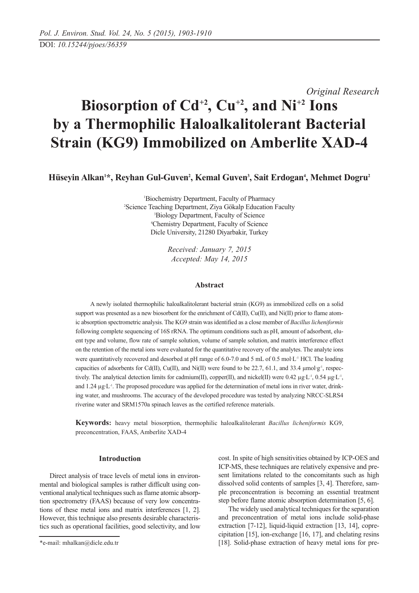*Original Research*

# **Biosorption of Cd+2, Cu+2, and Ni+2 Ions by a Thermophilic Haloalkalitolerant Bacterial Strain (KG9) Immobilized on Amberlite XAD-4**

Hüseyin Alkan<sup>1\*</sup>, Reyhan Gul-Guven<sup>2</sup>, Kemal Guven<sup>3</sup>, Sait Erdogan<sup>4</sup>, Mehmet Dogru<sup>2</sup>

 Biochemistry Department, Faculty of Pharmacy Science Teaching Department, Ziya Gökalp Education Faculty Biology Department, Faculty of Science Chemistry Department, Faculty of Science Dicle University, 21280 Diyarbakir, Turkey

> *Received: January 7, 2015 Accepted: May 14, 2015*

# **Abstract**

A newly isolated thermophilic haloalkalitolerant bacterial strain (KG9) as immobilized cells on a solid support was presented as a new biosorbent for the enrichment of Cd(II), Cu(II), and Ni(II) prior to flame atomic absorption spectrometric analysis. The KG9 strain was identified as a close member of *Bacillus licheniformis* following complete sequencing of 16S rRNA. The optimum conditions such as pH, amount of adsorbent, eluent type and volume, flow rate of sample solution, volume of sample solution, and matrix interference effect on the retention of the metal ions were evaluated for the quantitative recovery of the analytes. The analyte ions were quantitatively recovered and desorbed at pH range of 6.0-7.0 and 5 mL of 0.5 mol·L<sup>-1</sup> HCl. The loading capacities of adsorbents for Cd(II), Cu(II), and Ni(II) were found to be 22.7, 61.1, and 33.4  $\mu$ mol·g<sup>-1</sup>, respectively. The analytical detection limits for cadmium(II), copper(II), and nickel(II) were 0.42  $\mu$ g·L<sup>-1</sup>, 0.54  $\mu$ g·L<sup>-1</sup>, and 1.24  $\mu$ g·L<sup>-1</sup>. The proposed procedure was applied for the determination of metal ions in river water, drinking water, and mushrooms. The accuracy of the developed procedure was tested by analyzing NRCC-SLRS4 riverine water and SRM1570a spinach leaves as the certified reference materials.

**Keywords:** heavy metal biosorption, thermophilic haloalkalitolerant *Bacillus licheniformis* KG9, preconcentration, FAAS, Amberlite XAD-4

#### **Introduction**

Direct analysis of trace levels of metal ions in environmental and biological samples is rather difficult using conventional analytical techniques such as flame atomic absorption spectrometry (FAAS) because of very low concentrations of these metal ions and matrix interferences [1, 2]. However, this technique also presents desirable characteristics such as operational facilities, good selectivity, and low cost. In spite of high sensitivities obtained by ICP-OES and ICP-MS, these techniques are relatively expensive and present limitations related to the concomitants such as high dissolved solid contents of samples [3, 4]. Therefore, sample preconcentration is becoming an essential treatment step before flame atomic absorption determination [5, 6].

The widely used analytical techniques for the separation and preconcentration of metal ions include solid-phase extraction [7-12], liquid-liquid extraction [13, 14], coprecipitation [15], ion-exchange [16, 17], and chelating resins [18]. Solid-phase extraction of heavy metal ions for pre-

<sup>\*</sup>e-mail: mhalkan@dicle.edu.tr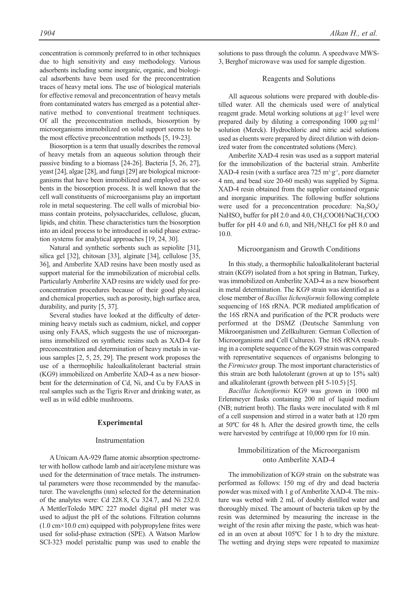concentration is commonly preferred to in other techniques due to high sensitivity and easy methodology. Various adsorbents including some inorganic, organic, and biological adsorbents have been used for the preconcentration traces of heavy metal ions. The use of biological materials for effective removal and preconcentration of heavy metals from contaminated waters has emerged as a potential alternative method to conventional treatment techniques. Of all the preconcentration methods, biosorption by microorganisms immobilized on solid support seems to be the most effective preconcentration methods [5, 19-23].

Biosorption is a term that usually describes the removal of heavy metals from an aqueous solution through their passive binding to a biomass [24-26]. Bacteria [5, 26, 27], yeast [24], algae [28], and fungi [29] are biological microorganisms that have been immobilized and employed as sorbents in the biosorption process. It is well known that the cell wall constituents of microorganisms play an important role in metal sequestering. The cell walls of microbial biomass contain proteins, polysaccharides, cellulose, glucan, lipids, and chitin. These characteristics turn the biosorption into an ideal process to be introduced in solid phase extraction systems for analytical approaches [19, 24, 30].

Natural and synthetic sorbents such as sepiolite [31], silica gel [32], chitosan [33], alginate [34], cellulose [35, 36], and Amberlite XAD resins have been mostly used as support material for the immobilization of microbial cells. Particularly Amberlite XAD resins are widely used for preconcentration procedures because of their good physical and chemical properties, such as porosity, high surface area, durability, and purity [5, 37].

Several studies have looked at the difficulty of determining heavy metals such as cadmium, nickel, and copper using only FAAS, which suggests the use of microorganisms immobilized on synthetic resins such as XAD-4 for preconcentration and determination of heavy metals in various samples [2, 5, 25, 29]. The present work proposes the use of a thermophilic haloalkalitolerant bacterial strain (KG9) immobilized on Amberlite XAD-4 as a new biosorbent for the determination of Cd, Ni, and Cu by FAAS in real samples such as the Tigris River and drinking water, as well as in wild edible mushrooms.

#### **Experimental**

#### Instrumentation

A Unicam AA-929 flame atomic absorption spectrometer with hollow cathode lamb and air/acetylene mixture was used for the determination of trace metals. The instrumental parameters were those recommended by the manufacturer. The wavelengths (nm) selected for the determination of the analytes were: Cd 228.8, Cu 324.7, and Ni 232.0. A MettlerToledo MPC 227 model digital pH meter was used to adjust the pH of the solutions. Filtration columns  $(1.0 \text{ cm} \times 10.0 \text{ cm})$  equipped with polypropylene frites were used for solid-phase extraction (SPE). A Watson Marlow SCI-323 model peristaltic pump was used to enable the solutions to pass through the column. A speedwave MWS-3, Berghof microwave was used for sample digestion.

#### Reagents and Solutions

All aqueous solutions were prepared with double-distilled water. All the chemicals used were of analytical reagent grade. Metal working solutions at µg·l<sup>-1</sup> level were prepared daily by diluting a corresponding  $1000 \mu\text{g} \cdot \text{m}$ l<sup>-1</sup> solution (Merck). Hydrochloric and nitric acid solutions used as eluents were prepared by direct dilution with deionized water from the concentrated solutions (Merc).

Amberlite XAD-4 resin was used as a support material for the immobilization of the bacterial strain. Amberlite  $XAD-4$  resin (with a surface area 725 m<sup>2</sup>·g<sup>-1</sup>, pore diameter 4 nm, and bead size 20-60 mesh) was supplied by Sigma. XAD-4 resin obtained from the supplier contained organic and inorganic impurities. The following buffer solutions were used for a preconcentration procedure:  $Na<sub>2</sub>SO<sub>4</sub>/$ NaHSO<sub>4</sub> buffer for pH 2.0 and 4.0, CH<sub>3</sub>COOH/NaCH<sub>3</sub>COO buffer for pH 4.0 and 6.0, and  $NH_3/NH_4Cl$  for pH 8.0 and 10.0.

#### Microorganism and Growth Conditions

In this study, a thermophilic haloalkalitolerant bacterial strain (KG9) isolated from a hot spring in Batman, Turkey, was immobilized on Amberlite XAD-4 as a new biosorbent in metal determination. The KG9 strain was identified as a close member of *Bacillus licheniformis* following complete sequencing of 16S rRNA. PCR mediated amplification of the 16S rRNA and purification of the PCR products were performed at the DSMZ (Deutsche Sammlung von Mikroorganismen und Zellkulturen: German Collection of Microorganisms and Cell Cultures). The 16S rRNA resulting in a complete sequence of the KG9 strain was compared with representative sequences of organisms belonging to the *Firmicutes* group. The most important characteristics of this strain are both halotolerant (grown at up to 15% salt) and alkalitolerant (growth between pH 5-10.5) [5].

*Bacillus licheniformis* KG9 was grown in 1000 ml Erlenmeyer flasks containing 200 ml of liquid medium (NB; nutrient broth). The flasks were inoculated with 8 ml of a cell suspension and stirred in a water bath at 120 rpm at 50ºC for 48 h. After the desired growth time, the cells were harvested by centrifuge at 10,000 rpm for 10 min.

# Immobilitization of the Microorganism onto Amberlite XAD-4

The immobilization of KG9 strain on the substrate was performed as follows: 150 mg of dry and dead bacteria powder was mixed with 1 g of Amberlite XAD-4. The mixture was wetted with 2 mL of doubly distilled water and thoroughly mixed. The amount of bacteria taken up by the resin was determined by measuring the increase in the weight of the resin after mixing the paste, which was heated in an oven at about 105ºC for 1 h to dry the mixture. The wetting and drying steps were repeated to maximize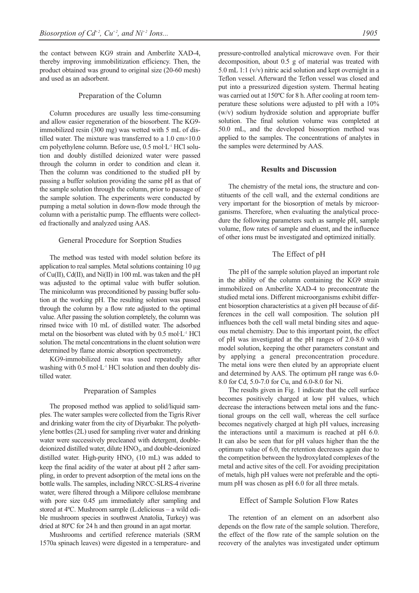the contact between KG9 strain and Amberlite XAD-4, thereby improving immobilitization efficiency. Then, the product obtained was ground to original size (20-60 mesh) and used as an adsorbent.

#### Preparation of the Column

Column procedures are usually less time-consuming and allow easier regeneration of the biosorbent. The KG9 immobilized resin (300 mg) was wetted with 5 mL of distilled water. The mixture was transferred to a 1.0 cm×10.0 cm polyethylene column. Before use, 0.5 mol·L-1 HCl solution and doubly distilled deionized water were passed through the column in order to condition and clean it. Then the column was conditioned to the studied pH by passing a buffer solution providing the same pH as that of the sample solution through the column, prior to passage of the sample solution. The experiments were conducted by pumping a metal solution in down-flow mode through the column with a peristaltic pump. The effluents were collected fractionally and analyzed using AAS.

#### General Procedure for Sorption Studies

The method was tested with model solution before its application to real samples. Metal solutions containing 10 µg of Cu(II), Cd(II), and Ni(II) in 100 mL was taken and the pH was adjusted to the optimal value with buffer solution. The minicolumn was preconditioned by passing buffer solution at the working pH. The resulting solution was passed through the column by a flow rate adjusted to the optimal value. After passing the solution completely, the column was rinsed twice with 10 mL of distilled water. The adsorbed metal on the biosorbent was eluted with by 0.5 mol·L-1 HCl solution. The metal concentrations in the eluent solution were determined by flame atomic absorption spectrometry.

KG9-immobilized resin was used repeatedly after washing with 0.5 mol $\cdot$ L<sup>-1</sup> HCl solution and then doubly distilled water.

#### Preparation of Samples

The proposed method was applied to solid/liquid samples. The water samples were collected from the Tigris River and drinking water from the city of Diyarbakır. The polyethylene bottles (2L) used for sampling river water and drinking water were successively precleaned with detergent, doubledeionized distilled water, dilute HNO<sub>3</sub>, and double-deionized distilled water. High-purity  $HNO<sub>3</sub>$  (10 mL) was added to keep the final acidity of the water at about pH 2 after sampling, in order to prevent adsorption of the metal ions on the bottle walls. The samples, including NRCC-SLRS-4 riverine water, were filtered through a Milipore cellulose membrane with pore size 0.45  $\mu$ m immediately after sampling and stored at 4ºC. Mushroom sample (L.deliciosus – a wild edible mushroom species in southwest Anatolia, Turkey) was dried at 80ºC for 24 h and then ground in an agat mortar.

Mushrooms and certified reference materials (SRM 1570a spinach leaves) were digested in a temperature- and pressure-controlled analytical microwave oven. For their decomposition, about 0.5 g of material was treated with 5.0 mL 1:1 (v/v) nitric acid solution and kept overnight in a Teflon vessel. Afterward the Teflon vessel was closed and put into a pressurized digestion system. Thermal heating was carried out at 150ºC for 8 h. After cooling at room temperature these solutions were adjusted to pH with a 10% (w/v) sodium hydroxide solution and appropriate buffer solution. The final solution volume was completed at 50.0 mL, and the developed biosorption method was applied to the samples. The concentrations of analytes in the samples were determined by AAS.

#### **Results and Discussion**

The chemistry of the metal ions, the structure and constituents of the cell wall, and the external conditions are very important for the biosorption of metals by microorganisms. Therefore, when evaluating the analytical procedure the following parameters such as sample pH, sample volume, flow rates of sample and eluent, and the influence of other ions must be investigated and optimized initially.

#### The Effect of pH

The pH of the sample solution played an important role in the ability of the column containing the KG9 strain immobilized on Amberlite XAD-4 to preconcentrate the studied metal ions. Different microorganisms exhibit different biosorption characteristics at a given pH because of differences in the cell wall composition. The solution pH influences both the cell wall metal binding sites and aqueous metal chemistry. Due to this important point, the effect of pH was investigated at the pH ranges of 2.0-8.0 with model solution, keeping the other parameters constant and by applying a general preconcentration procedure. The metal ions were then eluted by an appropriate eluent and determined by AAS. The optimum pH range was 6.0- 8.0 for Cd, 5.0-7.0 for Cu, and 6.0-8.0 for Ni.

The results given in Fig. 1 indicate that the cell surface becomes positively charged at low pH values, which decrease the interactions between metal ions and the functional groups on the cell wall, whereas the cell surface becomes negatively charged at high pH values, increasing the interactions until a maximum is reached at pH 6.0. It can also be seen that for pH values higher than the the optimum value of 6.0, the retention decreases again due to the competition between the hydroxylated complexes of the metal and active sites of the cell. For avoiding precipitation of metals, high pH values were not preferable and the optimum pH was chosen as pH 6.0 for all three metals.

#### Effect of Sample Solution Flow Rates

The retention of an element on an adsorbent also depends on the flow rate of the sample solution. Therefore, the effect of the flow rate of the sample solution on the recovery of the analytes was investigated under optimum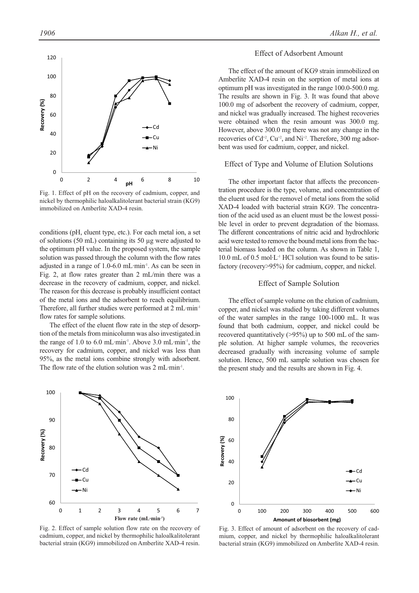

nickel by thermophilic haloalkalitolerant bacterial strain (KG9) immobilized on Amberlite XAD-4 resin.

conditions (pH, eluent type, etc.). For each metal ion, a set of solutions (50 mL) containing its 50 µg were adjusted to the optimum pH value. In the proposed system, the sample solution was passed through the column with the flow rates adjusted in a range of 1.0-6.0 mL·min-1. As can be seen in Fig. 2, at flow rates greater than 2 mL/min there was a decrease in the recovery of cadmium, copper, and nickel. The reason for this decrease is probably insufficient contact of the metal ions and the adsorbent to reach equilibrium. Therefore, all further studies were performed at 2 mL·min-1 flow rates for sample solutions.

The effect of the eluent flow rate in the step of desorption of the metals from minicolumn was also investigated.in the range of 1.0 to 6.0 mL·min<sup>-1</sup>. Above 3.0 mL·min<sup>-1</sup>, the recovery for cadmium, copper, and nickel was less than 95%, as the metal ions combine strongly with adsorbent. The flow rate of the elution solution was 2 mL·min<sup>-1</sup>.



Fig. 2. Effect of sample solution flow rate on the recovery of cadmium, copper, and nickel by thermophilic haloalkalitolerant bacterial strain (KG9) immobilized on Amberlite XAD-4 resin.

## Effect of Adsorbent Amount

The effect of the amount of KG9 strain immobilized on Amberlite XAD-4 resin on the sorption of metal ions at optimum pH was investigated in the range 100.0-500.0 mg. The results are shown in Fig. 3. It was found that above 100.0 mg of adsorbent the recovery of cadmium, copper, and nickel was gradually increased. The highest recoveries were obtained when the resin amount was 300.0 mg. However, above 300.0 mg there was not any change in the recoveries of  $Cd^{+2}$ ,  $Cu^{+2}$ , and  $Ni^{+2}$ . Therefore, 300 mg adsorbent was used for cadmium, copper, and nickel.

#### Effect of Type and Volume of Elution Solutions

The other important factor that affects the preconcentration procedure is the type, volume, and concentration of the eluent used for the removel of metal ions from the solid XAD-4 loaded with bacterial strain KG9. The concentration of the acid used as an eluent must be the lowest possible level in order to prevent degradation of the biomass. The different concentrations of nitric acid and hydrochloric acid were tested to remove the bound metal ions from the bacterial biomass loaded on the column. As shown in Table 1,  $10.0$  mL of  $0.5$  mol $\cdot$ L<sup>-1</sup> HCl solution was found to be satisfactory (recovery>95%) for cadmium, copper, and nickel.

# Effect of Sample Solution

The effect of sample volume on the elution of cadmium, copper, and nickel was studied by taking different volumes of the water samples in the range 100-1000 mL. It was found that both cadmium, copper, and nickel could be recovered quantitatively (>95%) up to 500 mL of the sample solution. At higher sample volumes, the recoveries decreased gradually with increasing volume of sample solution. Hence, 500 mL sample solution was chosen for the present study and the results are shown in Fig. 4.



Fig. 3. Effect of amount of adsorbent on the recovery of cadmium, copper, and nickel by thermophilic haloalkalitolerant bacterial strain (KG9) immobilized on Amberlite XAD-4 resin.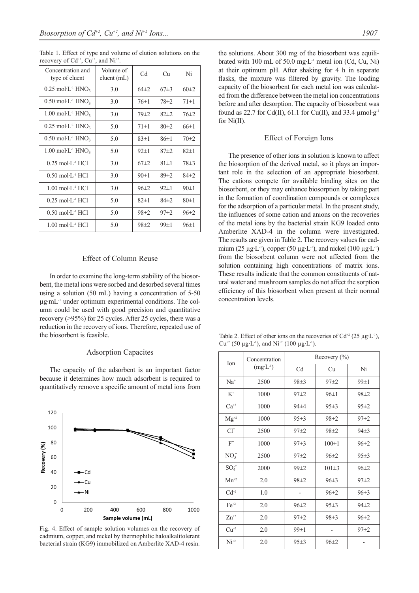Table 1. Effect of type and volume of elution solutions on the recovery of  $Cd^{+2}$ ,  $Cu^{+2}$ , and  $Ni^{+2}$ .

| Concentration and<br>type of eluent                      | Volume of<br>eluent (mL) | C <sub>d</sub> | Cи         | Ni         |
|----------------------------------------------------------|--------------------------|----------------|------------|------------|
| $0.25 \text{ mol} \cdot L$ <sup>1</sup> HNO <sub>3</sub> | 3.0                      | $64\pm2$       | $67\pm3$   | $60\pm2$   |
| $0.50 \text{ mol·L}$ <sup>1</sup> HNO <sub>3</sub>       | 3.0                      | $76 \pm 1$     | $78 \pm 2$ | $71 \pm 1$ |
| $1.00 \text{ mol·L}$ <sup>1</sup> HNO <sub>3</sub>       | 3.0                      | $79 \pm 2$     | $82\pm2$   | $76\pm2$   |
| $0.25 \text{ mol·L}$ <sup>1</sup> HNO <sub>3</sub>       | 5.0                      | $71 \pm 1$     | 80±2       | 66±1       |
| $0.50 \text{ mol·L}$ <sup>1</sup> HNO <sub>3</sub>       | 5.0                      | $83 \pm 1$     | 86±1       | $70\pm2$   |
| $1.00 \text{ mol·L}$ <sup>1</sup> HNO <sub>3</sub>       | 5.0                      | $92 \pm 1$     | 87±2       | $82 \pm 1$ |
| $0.25$ mol $\cdot$ L $\cdot$ <sup>1</sup> HCl            | 3.0                      | $67\pm2$       | $81 \pm 1$ | $78\pm3$   |
| $0.50 \text{ mol L}$ <sup>1</sup> HCl                    | 3.0                      | 90±1           | $89 \pm 2$ | $84\pm2$   |
| $1.00 \text{ mol} \cdot L$ <sup>1</sup> HCl              | 3.0                      | $96\pm2$       | $92 \pm 1$ | 90±1       |
| $0.25$ mol $\cdot$ L $\cdot$ <sup>1</sup> HCl            | 5.0                      | $82+1$         | $84\pm2$   | 80±1       |
| $0.50 \text{ mol} \cdot L$ <sup>1</sup> HCl              | 5.0                      | $98 \pm 2$     | $97\pm 2$  | $96\pm2$   |
| $1.00 \text{ mol} \cdot L$ <sup>1</sup> HCl              | 5.0                      | $98 \pm 2$     | $99 \pm 1$ | $96 \pm 1$ |

### Effect of Column Reuse

In order to examine the long-term stability of the biosorbent, the metal ions were sorbed and desorbed several times using a solution (50 mL) having a concentration of 5-50  $\mu$ g·m $L<sup>-1</sup>$  under optimum experimental conditions. The column could be used with good precision and quantitative recovery (>95%) for 25 cycles. After 25 cycles, there was a reduction in the recovery of ions. Therefore, repeated use of the biosorbent is feasible.

## Adsorption Capacites

The capacity of the adsorbent is an important factor because it determines how much adsorbent is required to quantitatively remove a specific amount of metal ions from



Fig. 4. Effect of sample solution volumes on the recovery of cadmium, copper, and nickel by thermophilic haloalkalitolerant bacterial strain (KG9) immobilized on Amberlite XAD-4 resin.

the solutions. About 300 mg of the biosorbent was equilibrated with 100 mL of 50.0 mg $\cdot$ L<sup>-1</sup> metal ion (Cd, Cu, Ni) at their optimum pH. After shaking for 4 h in separate flasks, the mixture was filtered by gravity. The loading capacity of the biosorbent for each metal ion was calculated from the difference between the metal ion concentrations before and after desorption. The capacity of biosorbent was found as 22.7 for Cd(II), 61.1 for Cu(II), and 33.4  $\mu$ mol·g<sup>-1</sup> for Ni(II).

#### Effect of Foreign Ions

The presence of other ions in solution is known to affect the biosorption of the derived metal, so it plays an important role in the selection of an appropriate biosorbent. The cations compete for available binding sites on the biosorbent, or they may enhance biosorption by taking part in the formation of coordination compounds or complexes for the adsorption of a particular metal. In the present study, the influences of some cation and anions on the recoveries of the metal ions by the bacterial strain KG9 loaded onto Amberlite XAD-4 in the column were investigated. The results are given in Table 2. The recovery values for cadmium (25  $\mu$ g·L<sup>-1</sup>), copper (50  $\mu$ g·L<sup>-1</sup>), and nickel (100  $\mu$ g·L<sup>-1</sup>) from the biosorbent column were not affected from the solution containing high concentrations of matrix ions. These results indicate that the common constituents of natural water and mushroom samples do not affect the sorption efficiency of this biosorbent when present at their normal concentration levels.

Table 2. Effect of other ions on the recoveries of  $Cd^{+2}$  (25 µg·L<sup>-1</sup>), Cu<sup>+2</sup> (50 µg·L<sup>-1</sup>), and Ni<sup>+2</sup> (100 µg·L<sup>-1</sup>).

| Ion             | Concentration<br>$(mg \cdot L^{-1})$ | Recovery $(\% )$ |             |            |  |  |  |
|-----------------|--------------------------------------|------------------|-------------|------------|--|--|--|
|                 |                                      | Cd               | Cu          | Ni         |  |  |  |
| $Na+$           | 2500                                 | $98 \pm 3$       | $97+2$      | $99 \pm 1$ |  |  |  |
| $K^+$           | 1000                                 | $97\pm 2$        | $96 \pm 1$  | $98 \pm 2$ |  |  |  |
| $Ca^{+2}$       | 1000                                 | $94\pm4$         | $95 \pm 3$  | $95 \pm 2$ |  |  |  |
| $Mg^{+2}$       | 1000                                 | $95 \pm 3$       | $98 \pm 2$  | $97+2$     |  |  |  |
| $Cl^{-}$        | 2500                                 | $97\pm 2$        | $98 \pm 2$  | $94\pm3$   |  |  |  |
| $F^-$           | 1000                                 | 97±3             | $100 \pm 1$ | $96 \pm 2$ |  |  |  |
| NO <sub>3</sub> | 2500                                 | $97 + 2$         | $96 \pm 2$  | $95 \pm 3$ |  |  |  |
| $SO_4^2$        | 2000                                 | $99 \pm 2$       | $101 \pm 3$ | $96\pm2$   |  |  |  |
| $Mn^{+2}$       | 2.0                                  | $98 \pm 2$       | 96±3        | $97+2$     |  |  |  |
| $Cd^{+2}$       | 1.0                                  |                  | $96 \pm 2$  | 96±3       |  |  |  |
| $Fe+2$          | 2.0                                  | $96 \pm 2$       | $95 \pm 3$  | $94\pm 2$  |  |  |  |
| $Zn+2}$         | 2.0                                  | $97 + 2$         | $98 \pm 3$  | $96 \pm 2$ |  |  |  |
| $Cu^{+2}$       | 2.0                                  | $99 \pm 1$       |             | $97+2$     |  |  |  |
| $Ni^{+2}$       | 2.0                                  | $95 \pm 3$       | $96\pm2$    |            |  |  |  |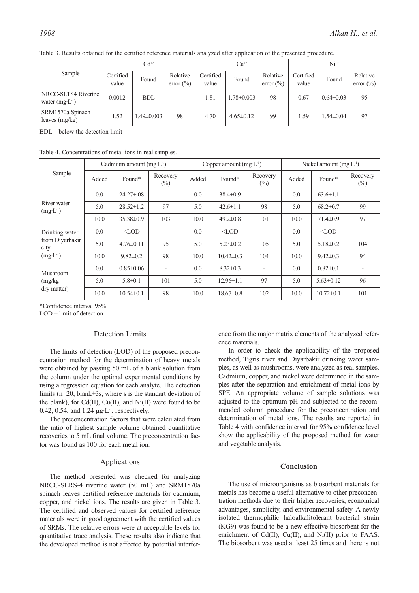|                                                  | $Cd+2$             |                  |                                  | $Cu^{2}$           |                  |                                  | $Ni+2$             |                 |                          |
|--------------------------------------------------|--------------------|------------------|----------------------------------|--------------------|------------------|----------------------------------|--------------------|-----------------|--------------------------|
| Sample                                           | Certified<br>value | Found            | Relative<br>error $\binom{0}{0}$ | Certified<br>value | Found            | Relative<br>error $\binom{0}{0}$ | Certified<br>value | Found           | Relative<br>error $(\%)$ |
| NRCC-SLTS4 Riverine<br>water $(mg \cdot L^{-1})$ | 0.0012             | <b>BDL</b>       |                                  | 1.81               | $1.78 \pm 0.003$ | 98                               | 0.67               | $0.64 \pm 0.03$ | 95                       |
| SRM1570a Spinach<br>leaves $(mg/kg)$             | .52                | $1.49 \pm 0.003$ | 98                               | 4.70               | $4.65 \pm 0.12$  | 99                               | 1.59               | $1.54 \pm 0.04$ | 97                       |

Table 3. Results obtained for the certified reference materials analyzed after application of the presented procedure.

BDL – below the detection limit

Table 4. Concentrations of metal ions in real samples.

|                                                                                                                               | Cadmium amount $(mg·L-1)$ |                  |                            |       | Copper amount $(mg·L-1)$ |                          | Nickel amount $(mg·L-1)$ |                 |                    |
|-------------------------------------------------------------------------------------------------------------------------------|---------------------------|------------------|----------------------------|-------|--------------------------|--------------------------|--------------------------|-----------------|--------------------|
| Sample                                                                                                                        | Added                     | Found*           | Recovery<br>$\binom{0}{0}$ | Added | Found*                   | Recovery<br>$(\%)$       | Added                    | Found*          | Recovery<br>$(\%)$ |
| River water<br>$(mg^L)^{-1}$<br>Drinking water<br>from Divarbakir<br>city<br>$(mg·L-1)$<br>Mushroom<br>(mg/kg)<br>dry matter) | 0.0                       | $24.27 \pm 0.08$ |                            | 0.0   | $38.4 \pm 0.9$           | $\overline{\phantom{a}}$ | 0.0                      | $63.6 \pm 1.1$  |                    |
|                                                                                                                               | 5.0                       | $28.52 \pm 1.2$  | 97                         | 5.0   | $42.6 \pm 1.1$           | 98                       | 5.0                      | $68.2 \pm 0.7$  | 99                 |
|                                                                                                                               | 10.0                      | $35.38 \pm 0.9$  | 103                        | 10.0  | $49.2 \pm 0.8$           | 101                      | 10.0                     | $71.4 \pm 0.9$  | 97                 |
|                                                                                                                               | 0.0                       | $\triangle$ LOD  |                            | 0.0   | $\triangle$ LOD          | $\overline{\phantom{0}}$ | 0.0                      | $<$ LOD         |                    |
|                                                                                                                               | 5.0                       | $4.76 \pm 0.11$  | 95                         | 5.0   | $5.23 \pm 0.2$           | 105                      | 5.0                      | $5.18 \pm 0.2$  | 104                |
|                                                                                                                               | 10.0                      | $9.82 \pm 0.2$   | 98                         | 10.0  | $10.42 \pm 0.3$          | 104                      | 10.0                     | $9.42 \pm 0.3$  | 94                 |
|                                                                                                                               | 0.0                       | $0.85 \pm 0.06$  |                            | 0.0   | $8.32 \pm 0.3$           | $\overline{\phantom{a}}$ | 0.0                      | $0.82 \pm 0.1$  |                    |
|                                                                                                                               | 5.0                       | $5.8 \pm 0.1$    | 101                        | 5.0   | $12.96 \pm 1.1$          | 97                       | 5.0                      | $5.63 \pm 0.12$ | 96                 |
|                                                                                                                               | 10.0                      | $10.54 \pm 0.1$  | 98                         | 10.0  | $18.67 \pm 0.8$          | 102                      | 10.0                     | $10.72 \pm 0.1$ | 101                |

\*Confidence interval 95%

LOD – limit of detection

#### Detection Limits

The limits of detection (LOD) of the proposed preconcentration method for the determination of heavy metals were obtained by passing 50 mL of a blank solution from the column under the optimal experimental conditions by using a regression equation for each analyte. The detection limits (n=20, blank±3s, where s is the standart deviation of the blank), for  $Cd(II)$ ,  $Cu(II)$ , and  $Ni(II)$  were found to be 0.42, 0.54, and 1.24  $\mu$ g·L<sup>-1</sup>, respectively.

The preconcentration factors that were calculated from the ratio of highest sample volume obtained quantitative recoveries to 5 mL final volume. The preconcentration factor was found as 100 for each metal ion.

#### Applications

The method presented was checked for analyzing NRCC-SLRS-4 riverine water (50 mL) and SRM1570a spinach leaves certified reference materials for cadmium, copper, and nickel ions. The results are given in Table 3. The certified and observed values for certified reference materials were in good agreement with the certified values of SRMs. The relative errors were at acceptable levels for quantitative trace analysis. These results also indicate that the developed method is not affected by potential interference from the major matrix elements of the analyzed reference materials.

In order to check the applicability of the proposed method, Tigris river and Diyarbakir drinking water samples, as well as mushrooms, were analyzed as real samples. Cadmium, copper, and nickel were determined in the samples after the separation and enrichment of metal ions by SPE. An appropriate volume of sample solutions was adjusted to the optimum pH and subjected to the recommended column procedure for the preconcentration and determination of metal ions. The results are reported in Table 4 with confidence interval for 95% confidence level show the applicability of the proposed method for water and vegetable analysis.

# **Conclusion**

The use of microorganisms as biosorbent materials for metals has become a useful alternative to other preconcentration methods due to their higher recoveries, economical advantages, simplicity, and environmental safety. A newly isolated thermophilic haloalkalitolerant bacterial strain (KG9) was found to be a new effective biosorbent for the enrichment of Cd(II), Cu(II), and Ni(II) prior to FAAS. The biosorbent was used at least 25 times and there is not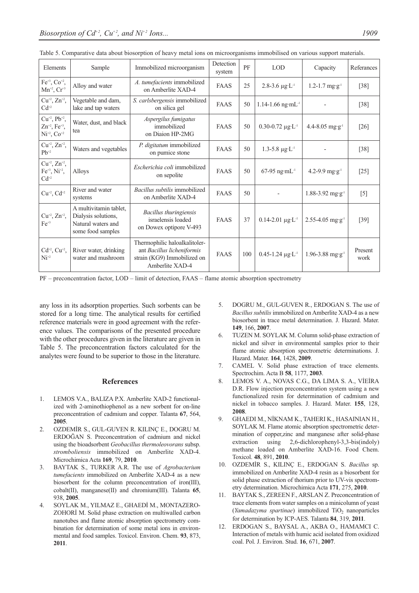| Elements                                                                           | Sample                                                                                   | Immobilized microorganism                                                                                     | Detection<br>system | PF  | <b>LOD</b>                        | Capacity                         | Referances      |
|------------------------------------------------------------------------------------|------------------------------------------------------------------------------------------|---------------------------------------------------------------------------------------------------------------|---------------------|-----|-----------------------------------|----------------------------------|-----------------|
| $Fe^{+3}$ , $Co^{+2}$ ,<br>$Mn^{+2}$ , $Cr^{+3}$                                   | Alloy and water                                                                          | A. tumefacients immobilized<br>on Amberlite XAD-4                                                             | <b>FAAS</b>         | 25  | 2.8-3.6 $\mu$ g·L <sup>-1</sup>   | $1.2 - 1.7$ mg·g <sup>-1</sup>   | $[38]$          |
| $Cu^{+2}$ , $Zn^{+2}$ ,<br>$Cd+2$                                                  | Vegetable and dam,<br>lake and tap waters                                                | S. carlsbergensis immobilized<br>on silica gel                                                                | FAAS                | 50  | $1.14 - 1.66$ ng·mL <sup>-1</sup> |                                  | $[38]$          |
| $Cu^{+2}$ , $Pb^{+2}$ ,<br>$Zn^{+2}$ , Fe <sup>+3</sup> ,<br>$Ni^{+2}$ , $Co^{+2}$ | Water, dust, and black<br>tea                                                            | Aspergilus fumigatus<br>immobilized<br>on Diaion HP-2MG                                                       | FAAS                | 50  | $0.30 - 0.72 \mu g \cdot L^{-1}$  | $4.4 - 8.05$ mg·g <sup>-1</sup>  | $[26]$          |
| $Cu^{+2}$ , $Zn^{+2}$ ,<br>$Pb^{+2}$                                               | Waters and vegetables                                                                    | P. digitatum immobilized<br>on pumice stone                                                                   | FAAS                | 50  | $1.3 - 5.8 \mu g \cdot L^{-1}$    |                                  | $[38]$          |
| $Cu^{+2}$ , $Zn^{+2}$ ,<br>$Fe^{+3}$ , $Ni^{+2}$ ,<br>$Cd+2$                       | Alloys                                                                                   | Escherichia coli immobilized<br>on sepolite                                                                   | FAAS                | 50  | $67-95$ ng·mL <sup>-1</sup>       | 4.2-9.9 $mg \cdot g^{-1}$        | $[25]$          |
| $Cu^{+2}$ , $Cd^{+2}$                                                              | River and water<br>systems                                                               | Bacillus subtilis immobilized<br>on Amberlite XAD-4                                                           | <b>FAAS</b>         | 50  |                                   | $1.88 - 3.92$ mg·g <sup>-1</sup> | $[5]$           |
| $Cu^{+2}$ , $Zn^{+2}$ ,<br>$Fe+3$                                                  | A multivitamin tablet,<br>Dialysis solutions,<br>Natural waters and<br>some food samples | Bacillus thuringiensis<br>israelensis loaded<br>on Dowex optipore V-493                                       | FAAS                | 37  | $0.14 - 2.01 \mu g \cdot L^{-1}$  | $2.55 - 4.05$ mg·g <sup>-1</sup> | $[39]$          |
| $Cd^{+2}$ , $Cu^{+2}$ ,<br>$Ni^{+2}$                                               | River water, drinking<br>water and mushroom                                              | Thermophilic haloalkalitoler-<br>ant Bacillus licheniformis<br>strain (KG9) Immobilized on<br>Amberlite XAD-4 | FAAS                | 100 | $0.45 - 1.24 \mu g \cdot L^{-1}$  | $1.96 - 3.88$ mg·g <sup>-1</sup> | Present<br>work |

|  | Table 5. Comparative data about biosorption of heavy metal ions on microorganisms immobilised on various support materials. |  |
|--|-----------------------------------------------------------------------------------------------------------------------------|--|
|  |                                                                                                                             |  |

PF – preconcentration factor, LOD – limit of detection, FAAS – flame atomic absorption spectrometry

any loss in its adsorption properties. Such sorbents can be stored for a long time. The analytical results for certified reference materials were in good agreement with the reference values. The comparisons of the presented procedure with the other procedures given in the literature are given in Table 5. The preconcentration factors calculated for the analytes were found to be superior to those in the literature.

#### **References**

- 1. LEMOS V.A., BALIZA P.X. Amberlite XAD-2 functionalized with 2-aminothiophenol as a new sorbent for on-line preconcentration of cadmium and copper. Talanta **67**, 564, **2005**.
- 2. OZDEMİR S., GUL-GUVEN R. KILINÇ E., DOGRU M. ERDOĞAN S. Preconcentration of cadmium and nickel using the bioadsorbent *Geobacillus thermoleovorans* subsp. *stromboliensis* immobilized on Amberlite XAD-4. Microchimica Acta **169**, 79, **2010**.
- 3. BAYTAK S., TURKER A.R. The use of *Agrobacterium tumefacients* immobilized on Amberlite XAD-4 as a new biosorbent for the column preconcentration of iron(III), cobalt(II), manganese(II) and chromium(III). Talanta **65**, 938, **2005**.
- 4. SOYLAK M., YILMAZ E., GHAEDİ M., MONTAZERO-ZOHORİ M. Solid phase extraction on multiwalled carbon nanotubes and flame atomic absorption spectrometry combination for determination of some metal ions in environmental and food samples. Toxicol. Environ. Chem. **93**, 873, **2011**.
- 5. DOGRU M., GUL-GUVEN R., ERDOGAN S. The use of *Bacillus subtilis* immobilized on Amberlite XAD-4 as a new biosorbent in trace metal determination. J. Hazard. Mater. **149**, 166, **2007**.
- 6. TUZEN M. SOYLAK M. Column solid-phase extraction of nickel and silver in environmental samples prior to their flame atomic absorption spectrometric determinations. J. Hazard. Mater. **164**, 1428, **2009**.
- 7. CAMEL V. Solid phase extraction of trace elements. Spectrochim. Acta B **58**, 1177, **2003**.
- 8. LEMOS V. A., NOVAS C.G., DA LIMA S. A., VİEİRA D.R. Flow injection preconcentration system using a new functionalized resin for determination of cadmium and nickel in tobacco samples. J. Hazard. Mater. **155**, 128, **2008**.
- 9. GHAEDI M., NİKNAM K., TAHERI K., HASAINIAN H., SOYLAK M. Flame atomic absorption spectrometric determination of copper,zinc and manganese after solid-phase extraction using 2,6-dichlorophenyl-3,3-bis(indoly) methane loaded on Amberlite XAD-16. Food Chem. Toxicol. **48**, 891, **2010**.
- 10. OZDEMİR S., KILINÇ E., ERDOGAN S. *Bacillus* sp. immobilized on Amberlite XAD-4 resin as a biosorbent for solid phase extraction of thorium prior to UV-vis spectrometry determination. Microchimica Acta **171**, 275, **2010**.
- 11. BAYTAK S., ZEREEN F., ARSLAN Z. Preconcentration of trace elements from water samples on a minicolumn of yeast (*Yamadazyma spartinae*) immobilized TiO<sub>2</sub> nanoparticles for determination by ICP-AES. Talanta **84**, 319, **2011**.
- 12. ERDOGAN S., BAYSAL A., AKBA O., HAMAMCI C. Interaction of metals with humic acid isolated from oxidized coal. Pol. J. Environ. Stud. **16**, 671, **2007**.